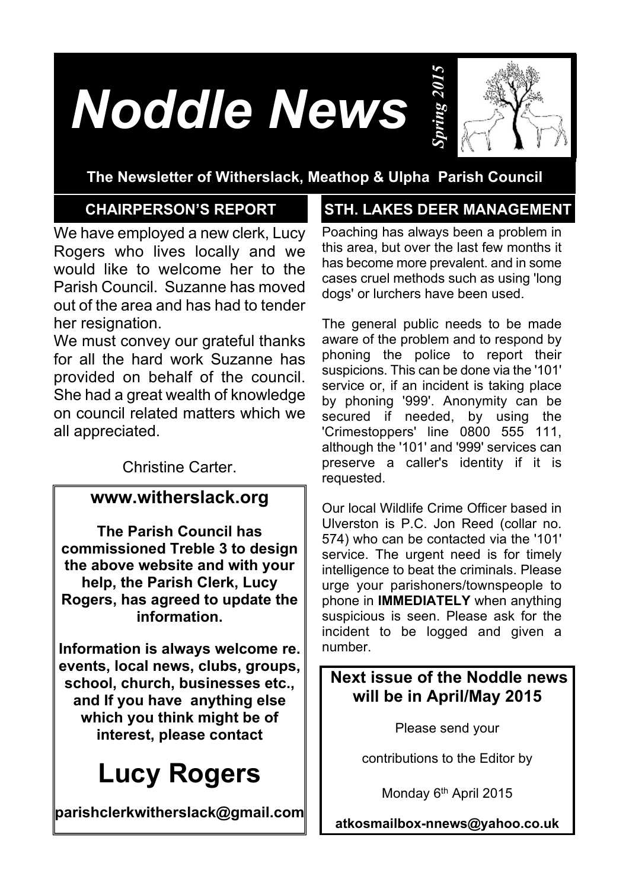# *Noddle News*



# **The Newsletter of Witherslack, Meathop & Ulpha Parish Council**

Parish Council. Suzanne has moved We have employed a new clerk, Lucy Rogers who lives locally and we would like to welcome her to the out of the area and has had to tender her resignation.

We must convey our grateful thanks for all the hard work Suzanne has provided on behalf of the council. She had a great wealth of knowledge on council related matters which we all appreciated.

Christine Carter.

## **www.witherslack.org**

**The Parish Council has commissioned Treble 3 to design the above website and with your help, the Parish Clerk, Lucy Rogers, has agreed to update the information.**

**Information is always welcome re. events, local news, clubs, groups, school, church, businesses etc., and If you have anything else which you think might be of interest, please contact**

# **Lucy Rogers**

**parishclerkwitherslack@gmail.com**

# **CHAIRPERSON'S REPORT STH. LAKES DEER MANAGEMENT**

Poaching has always been a problem in this area, but over the last few months it has become more prevalent. and in some cases cruel methods such as using 'long dogs' or lurchers have been used.

The general public needs to be made aware of the problem and to respond by phoning the police to report their suspicions. This can be done via the '101' service or, if an incident is taking place by phoning '999'. Anonymity can be secured if needed, by using the 'Crimestoppers' line 0800 555 111, although the '101' and '999' services can preserve a caller's identity if it is requested.

Our local Wildlife Crime Officer based in Ulverston is P.C. Jon Reed (collar no. 574) who can be contacted via the '101' service. The urgent need is for timely intelligence to beat the criminals. Please urge your parishoners/townspeople to phone in **IMMEDIATELY** when anything suspicious is seen. Please ask for the incident to be logged and given a number.

# **Next issue of the Noddle news will be in April/May 2015**

Please send your

contributions to the Editor by

Monday 6<sup>th</sup> April 2015

**atkosmailbox-nnews@yahoo.co.uk**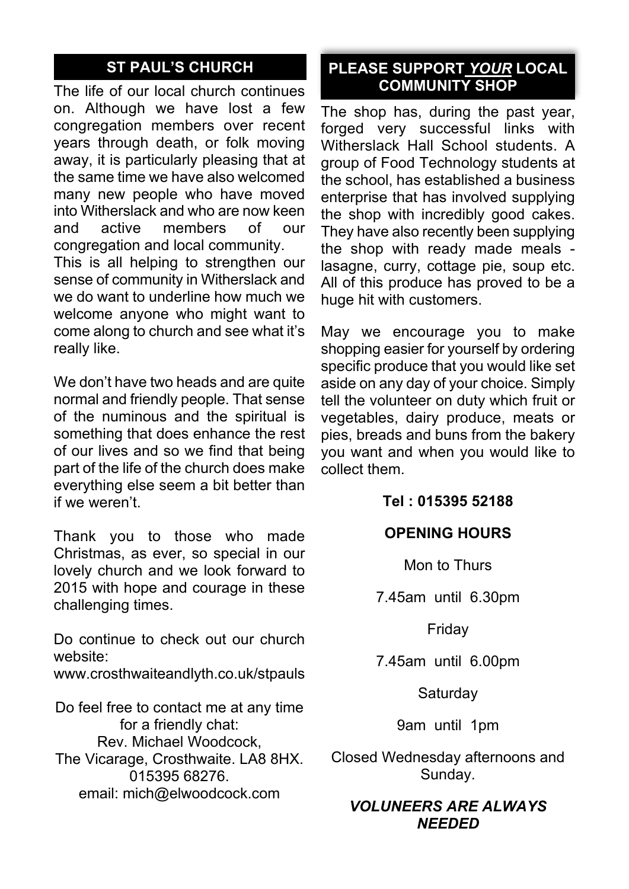# **ST PAUL'S CHURCH**

The life of our local church continues on. Although we have lost a few congregation members over recent years through death, or folk moving away, it is particularly pleasing that at the same time we have also welcomed many new people who have moved into Witherslack and who are now keen<br>and active members of our active members of our congregation and local community.

This is all helping to strengthen our sense of community in Witherslack and we do want to underline how much we welcome anyone who might want to come along to church and see what it's really like.

We don't have two heads and are quite normal and friendly people. That sense of the numinous and the spiritual is something that does enhance the rest of our lives and so we find that being part of the life of the church does make everything else seem a bit better than if we weren't.

Thank you to those who made Christmas, as ever, so special in our lovely church and we look forward to 2015 with hope and courage in these challenging times.

Do continue to check out our church website:

www.crosthwaiteandlyth.co.uk/stpauls

Do feel free to contact me at any time for a friendly chat: Rev. Michael Woodcock, The Vicarage, Crosthwaite. LA8 8HX. 015395 68276. email: mich@elwoodcock.com

### **PLEASE SUPPORT** *YOUR* **LOCAL COMMUNITY SHOP**

The shop has, during the past year, forged very successful links with Witherslack Hall School students. A group of Food Technology students at the school, has established a business enterprise that has involved supplying the shop with incredibly good cakes. They have also recently been supplying the shop with ready made meals lasagne, curry, cottage pie, soup etc. All of this produce has proved to be a huge hit with customers.

May we encourage you to make shopping easier for yourself by ordering specific produce that you would like set aside on any day of your choice. Simply tell the volunteer on duty which fruit or vegetables, dairy produce, meats or pies, breads and buns from the bakery you want and when you would like to collect them.

### **Tel : 015395 52188**

#### **OPENING HOURS**

Mon to Thurs

7.45am until 6.30pm

Friday

7.45am until 6.00pm

Saturday

9am until 1pm

Closed Wednesday afternoons and Sunday.

#### *VOLUNEERS ARE ALWAYS NEEDED*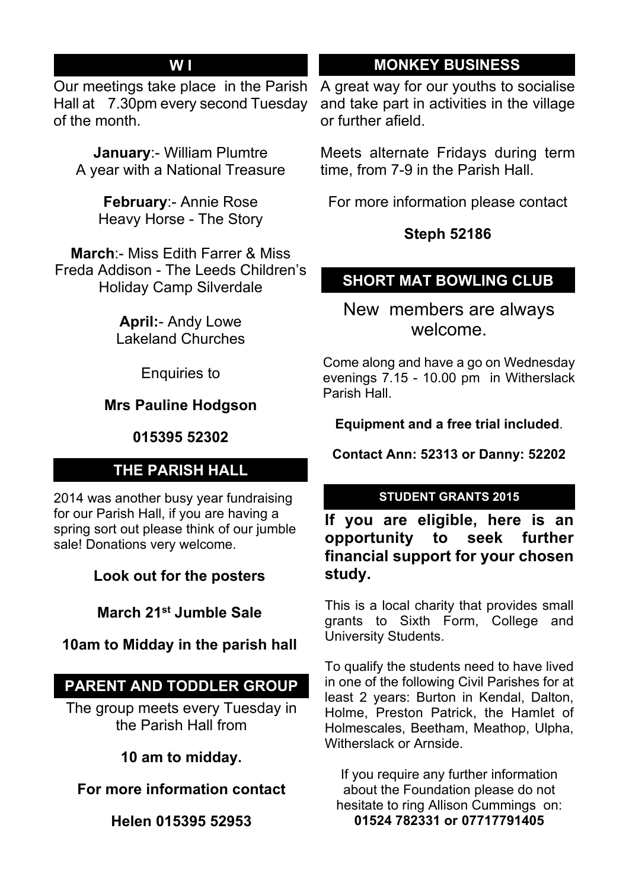### **W I**

Our meetings take place in the Parish Hall at 7.30pm every second Tuesday of the month.

**January**:- William Plumtre A year with a National Treasure

> **February**:- Annie Rose Heavy Horse - The Story

**March**:- Miss Edith Farrer & Miss Freda Addison - The Leeds Children's Holiday Camp Silverdale

> **April:**- Andy Lowe Lakeland Churches

> > Enquiries to

### **Mrs Pauline Hodgson**

#### **015395 52302**

### **THE PARISH HALL**

2014 was another busy year fundraising for our Parish Hall, if you are having a spring sort out please think of our jumble sale! Donations very welcome.

**Look out for the posters**

**March 21st Jumble Sale**

### **10am to Midday in the parish hall**

# **PARENT AND TODDLER GROUP**

The group meets every Tuesday in the Parish Hall from

**10 am to midday.**

**For more information contact**

**Helen 015395 52953**

# **MONKEY BUSINESS**

A great way for our youths to socialise and take part in activities in the village or further afield.

Meets alternate Fridays during term time, from 7-9 in the Parish Hall.

For more information please contact

### **Steph 52186**

# **SHORT MAT BOWLING CLUB**

New members are always welcome.

Come along and have a go on Wednesday evenings 7.15 - 10.00 pm in Witherslack Parish Hall.

**Equipment and a free trial included**.

**Contact Ann: 52313 or Danny: 52202**

#### **STUDENT GRANTS 2015**

**If you are eligible, here is an opportunity to seek further financial support for your chosen study.**

This is a local charity that provides small grants to Sixth Form, College and University Students.

To qualify the students need to have lived in one of the following Civil Parishes for at least 2 years: Burton in Kendal, Dalton, Holme, Preston Patrick, the Hamlet of Holmescales, Beetham, Meathop, Ulpha, Witherslack or Arnside.

If you require any further information about the Foundation please do not hesitate to ring Allison Cummings on: **01524 782331 or 07717791405**